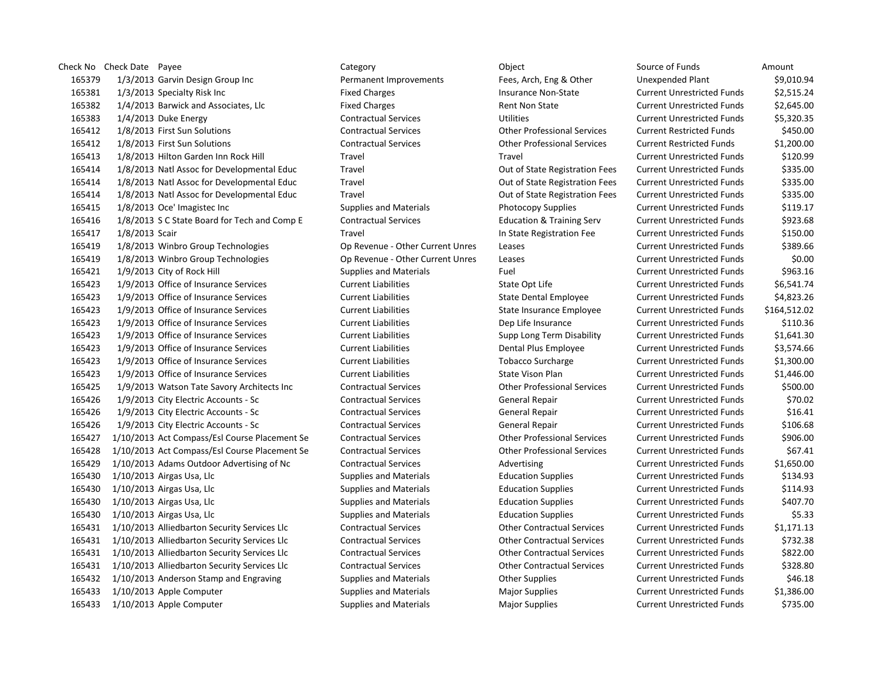Check No Check Date Payee **Check Date Payee** Category Category Category Category Category Check No Check Down Source of Funds Amount 1/3/2013 Garvin Design Group Inc Permanent Improvements Fees, Arch, Eng & Other Unexpended Plant \$9,010.94 1/3/2013 Specialty Risk Inc Fixed Charges Insurance Non-State Current Unrestricted Funds \$2,515.24 1/4/2013 Barwick and Associates, Llc Fixed Charges Rent Non State Current Unrestricted Funds \$2,645.00 1/4/2013 Duke Energy Contractual Services Utilities Current Unrestricted Funds \$5,320.35 1/8/2013 First Sun Solutions Contractual Services Other Professional Services Current Restricted Funds \$450.00 1/8/2013 First Sun Solutions Contractual Services Other Professional Services Current Restricted Funds \$1,200.00 1/8/2013 Hilton Garden Inn Rock Hill Travel Travel Current Unrestricted Funds \$120.99 1/8/2013 Natl Assoc for Developmental Educ Travel Out of State Registration Fees Current Unrestricted Funds \$335.00 1/8/2013 Natl Assoc for Developmental Educ Travel Out of State Registration Fees Current Unrestricted Funds \$335.00 1/8/2013 Natl Assoc for Developmental Educ Travel Out of State Registration Fees Current Unrestricted Funds \$335.00 1/8/2013 Oce' Imagistec Inc Supplies and Materials Photocopy Supplies Current Unrestricted Funds \$119.17 1/8/2013 S C State Board for Tech and Comp E Contractual Services Education & Training Serv Current Unrestricted Funds \$923.68 1/8/2013 Scair Travel In State Registration Fee Current Unrestricted Funds \$150.00 1/8/2013 Winbro Group Technologies Op Revenue - Other Current Unres Leases Current Unrestricted Funds \$389.66 1/8/2013 Winbro Group Technologies Op Revenue - Other Current Unres Leases Current Unrestricted Funds \$0.00 165421 1/9/2013 City of Rock Hill Supplies and Materials Fuel Fuel Current Unrestricted Funds \$963.16 1/9/2013 Office of Insurance Services Current Liabilities State Opt Life Current Unrestricted Funds \$6,541.74 1/9/2013 Office of Insurance Services Current Liabilities State Dental Employee Current Unrestricted Funds \$4,823.26 1/9/2013 Office of Insurance Services Current Liabilities State Insurance Employee Current Unrestricted Funds \$164,512.02 1/9/2013 Office of Insurance Services Current Liabilities Dep Life Insurance Current Unrestricted Funds \$110.36 1/9/2013 Office of Insurance Services Current Liabilities Supp Long Term Disability Current Unrestricted Funds \$1,641.30 1/9/2013 Office of Insurance Services Current Liabilities Dental Plus Employee Current Unrestricted Funds \$3,574.66 1/9/2013 Office of Insurance Services Current Liabilities Tobacco Surcharge Current Unrestricted Funds \$1,300.00 1/9/2013 Office of Insurance Services Current Liabilities State Vison Plan Current Unrestricted Funds \$1,446.00 1/9/2013 Watson Tate Savory Architects Inc Contractual Services Other Professional Services Current Unrestricted Funds \$500.00 1/9/2013 City Electric Accounts - Sc Contractual Services General Repair Current Unrestricted Funds \$70.02 1/9/2013 City Electric Accounts - Sc Contractual Services General Repair Current Unrestricted Funds \$16.41 1/9/2013 City Electric Accounts - Sc Contractual Services General Repair Current Unrestricted Funds \$106.68 1/10/2013 Act Compass/Esl Course Placement Se Contractual Services Other Professional Services Current Unrestricted Funds \$906.00 1/10/2013 Act Compass/Esl Course Placement Se Contractual Services Other Professional Services Current Unrestricted Funds \$67.41 1/10/2013 Adams Outdoor Advertising of Nc Contractual Services Advertising Current Unrestricted Funds \$1,650.00 1/10/2013 Airgas Usa, Llc Supplies and Materials Education Supplies Current Unrestricted Funds \$134.93 1/10/2013 Airgas Usa, Llc Supplies and Materials Education Supplies Current Unrestricted Funds \$114.93 1/10/2013 Airgas Usa, Llc Supplies and Materials Education Supplies Current Unrestricted Funds \$407.70 1/10/2013 Airgas Usa, Llc Supplies and Materials Education Supplies Current Unrestricted Funds \$5.33 1/10/2013 Alliedbarton Security Services Llc Contractual Services Other Contractual Services Current Unrestricted Funds \$1,171.13 1/10/2013 Alliedbarton Security Services Llc Contractual Services Other Contractual Services Current Unrestricted Funds \$732.38 1/10/2013 Alliedbarton Security Services Llc Contractual Services Other Contractual Services Current Unrestricted Funds \$822.00 1/10/2013 Alliedbarton Security Services Llc Contractual Services Other Contractual Services Current Unrestricted Funds \$328.80 165432 1/10/2013 Anderson Stamp and Engraving Supplies and Materials Current Unrestricted Funds 546.18 1/10/2013 Apple Computer Supplies and Materials Major Supplies Current Unrestricted Funds \$1,386.00 1/10/2013 Apple Computer Supplies and Materials Major Supplies Current Unrestricted Funds \$735.00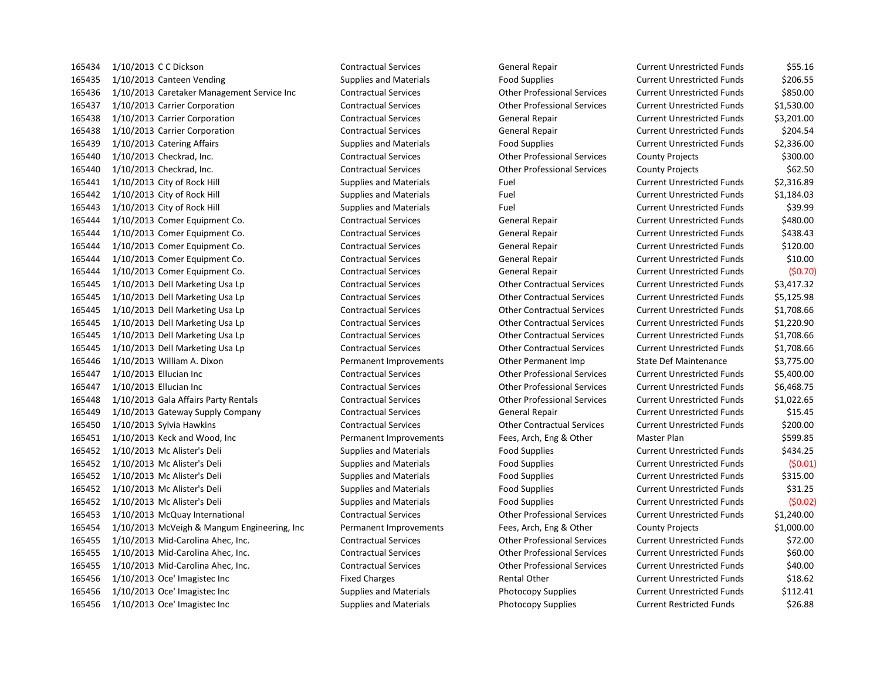1/10/2013 C C Dickson Contractual Services General Repair Current Unrestricted Funds \$55.16 165435 1/10/2013 Canteen Vending The Supplies and Materials Food Supplies Food Supplies Current Unrestricted Funds \$206.55 1/10/2013 Caretaker Management Service Inc Contractual Services Other Professional Services Current Unrestricted Funds \$850.00 1/10/2013 Carrier Corporation Contractual Services Other Professional Services Current Unrestricted Funds \$1,530.00 1/10/2013 Carrier Corporation Contractual Services General Repair Current Unrestricted Funds \$3,201.00 1/10/2013 Carrier Corporation Contractual Services General Repair Current Unrestricted Funds \$204.54 1/10/2013 Catering Affairs Supplies and Materials Food Supplies Current Unrestricted Funds \$2,336.00 1/10/2013 Checkrad, Inc. Contractual Services Other Professional Services County Projects \$300.00 1/10/2013 Checkrad, Inc. Contractual Services Other Professional Services County Projects \$62.50 165441 1/10/2013 City of Rock Hill Supplies and Materials Fuel Fuel Current Unrestricted Funds \$2,316.89 1/10/2013 City of Rock Hill Supplies and Materials Fuel Current Unrestricted Funds \$1,184.03 1/10/2013 City of Rock Hill Supplies and Materials Fuel Current Unrestricted Funds \$39.99 1/10/2013 Comer Equipment Co. Contractual Services General Repair Current Unrestricted Funds \$480.00 1/10/2013 Comer Equipment Co. Contractual Services General Repair Current Unrestricted Funds \$438.43 1/10/2013 Comer Equipment Co. Contractual Services General Repair Current Unrestricted Funds \$120.00 1/10/2013 Comer Equipment Co. Contractual Services General Repair Current Unrestricted Funds \$10.00 1/10/2013 Comer Equipment Co. Contractual Services General Repair Current Unrestricted Funds (\$0.70) 1/10/2013 Dell Marketing Usa Lp Contractual Services Other Contractual Services Current Unrestricted Funds \$3,417.32 1/10/2013 Dell Marketing Usa Lp Contractual Services Other Contractual Services Current Unrestricted Funds \$5,125.98 1/10/2013 Dell Marketing Usa Lp Contractual Services Other Contractual Services Current Unrestricted Funds \$1,708.66 1/10/2013 Dell Marketing Usa Lp Contractual Services Other Contractual Services Current Unrestricted Funds \$1,220.90 1/10/2013 Dell Marketing Usa Lp Contractual Services Other Contractual Services Current Unrestricted Funds \$1,708.66 1/10/2013 Dell Marketing Usa Lp Contractual Services Other Contractual Services Current Unrestricted Funds \$1,708.66 1/10/2013 William A. Dixon Permanent Improvements Other Permanent Imp State Def Maintenance \$3,775.00 1/10/2013 Ellucian Inc Contractual Services Other Professional Services Current Unrestricted Funds \$5,400.00 1/10/2013 Ellucian Inc Contractual Services Other Professional Services Current Unrestricted Funds \$6,468.75 1/10/2013 Gala Affairs Party Rentals Contractual Services Other Professional Services Current Unrestricted Funds \$1,022.65 1/10/2013 Gateway Supply Company Contractual Services General Repair Current Unrestricted Funds \$15.45 1/10/2013 Sylvia Hawkins Contractual Services Other Contractual Services Current Unrestricted Funds \$200.00 1/10/2013 Keck and Wood, Inc Permanent Improvements Fees, Arch, Eng & Other Master Plan \$599.85 1/10/2013 Mc Alister's Deli Supplies and Materials Food Supplies Current Unrestricted Funds \$434.25 1/10/2013 Mc Alister's Deli Supplies and Materials Food Supplies Current Unrestricted Funds (\$0.01) 1/10/2013 Mc Alister's Deli Supplies and Materials Food Supplies Current Unrestricted Funds \$315.00 1/10/2013 Mc Alister's Deli Supplies and Materials Food Supplies Current Unrestricted Funds \$31.25 1/10/2013 Mc Alister's Deli Supplies and Materials Food Supplies Current Unrestricted Funds (\$0.02) 1/10/2013 McQuay International Contractual Services Other Professional Services Current Unrestricted Funds \$1,240.00 1/10/2013 McVeigh & Mangum Engineering, Inc Permanent Improvements Fees, Arch, Eng & Other County Projects \$1,000.00 1/10/2013 Mid-Carolina Ahec, Inc. Contractual Services Other Professional Services Current Unrestricted Funds \$72.00 1/10/2013 Mid-Carolina Ahec, Inc. Contractual Services Other Professional Services Current Unrestricted Funds \$60.00 1/10/2013 Mid-Carolina Ahec, Inc. Contractual Services Other Professional Services Current Unrestricted Funds \$40.00 1/10/2013 Oce' Imagistec Inc Fixed Charges Rental Other Current Unrestricted Funds \$18.62 1/10/2013 Oce' Imagistec Inc Supplies and Materials Photocopy Supplies Current Unrestricted Funds \$112.41 1/10/2013 Oce' Imagistec Inc Supplies and Materials Photocopy Supplies Current Restricted Funds \$26.88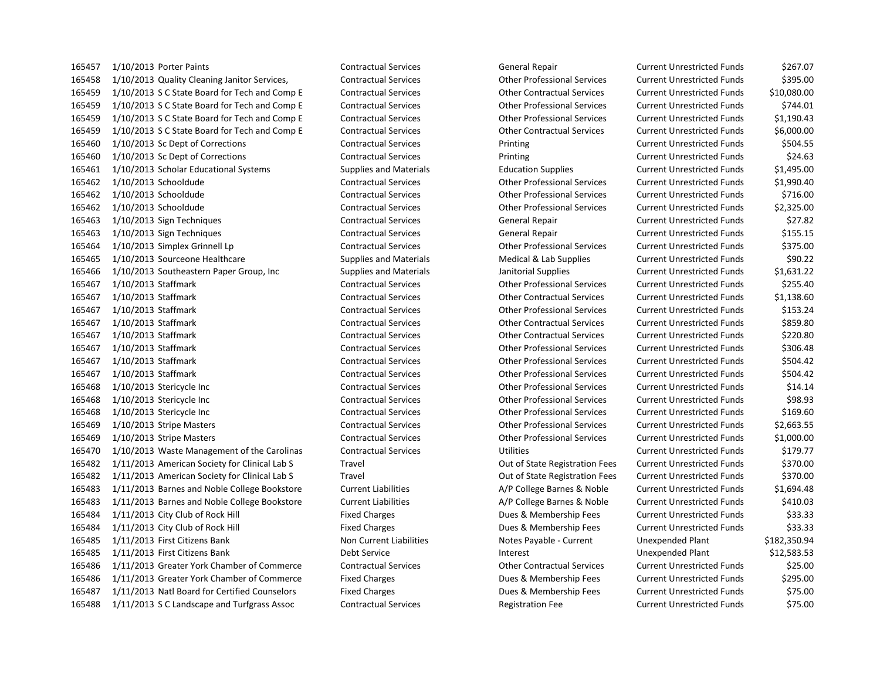1/10/2013 Porter Paints Contractual Services General Repair Current Unrestricted Funds \$267.07 1/10/2013 Quality Cleaning Janitor Services, Contractual Services Other Professional Services Current Unrestricted Funds \$395.00 1/10/2013 S C State Board for Tech and Comp E Contractual Services Other Contractual Services Current Unrestricted Funds \$10,080.00 1/10/2013 S C State Board for Tech and Comp E Contractual Services Other Professional Services Current Unrestricted Funds \$744.01 1/10/2013 S C State Board for Tech and Comp E Contractual Services Other Professional Services Current Unrestricted Funds \$1,190.43 1/10/2013 S C State Board for Tech and Comp E Contractual Services Other Contractual Services Current Unrestricted Funds \$6,000.00 1/10/2013 Sc Dept of Corrections Contractual Services Printing Current Unrestricted Funds \$504.55 1/10/2013 Sc Dept of Corrections Contractual Services Printing Current Unrestricted Funds \$24.63 1/10/2013 Scholar Educational Systems Supplies and Materials Education Supplies Current Unrestricted Funds \$1,495.00 1/10/2013 Schooldude Contractual Services Other Professional Services Current Unrestricted Funds \$1,990.40 1/10/2013 Schooldude Contractual Services Other Professional Services Current Unrestricted Funds \$716.00 1/10/2013 Schooldude Contractual Services Other Professional Services Current Unrestricted Funds \$2,325.00 1/10/2013 Sign Techniques Contractual Services General Repair Current Unrestricted Funds \$27.82 1/10/2013 Sign Techniques Contractual Services General Repair Current Unrestricted Funds \$155.15 1/10/2013 Simplex Grinnell Lp Contractual Services Other Professional Services Current Unrestricted Funds \$375.00 1/10/2013 Sourceone Healthcare Supplies and Materials Medical & Lab Supplies Current Unrestricted Funds \$90.22 1/10/2013 Southeastern Paper Group, Inc Supplies and Materials Janitorial Supplies Current Unrestricted Funds \$1,631.22 1/10/2013 Staffmark Contractual Services Other Professional Services Current Unrestricted Funds \$255.40 1/10/2013 Staffmark Contractual Services Other Contractual Services Current Unrestricted Funds \$1,138.60 1/10/2013 Staffmark Contractual Services Other Professional Services Current Unrestricted Funds \$153.24 1/10/2013 Staffmark Contractual Services Other Contractual Services Current Unrestricted Funds \$859.80 1/10/2013 Staffmark Contractual Services Other Contractual Services Current Unrestricted Funds \$220.80 1/10/2013 Staffmark Contractual Services Other Professional Services Current Unrestricted Funds \$306.48 1/10/2013 Staffmark Contractual Services Other Professional Services Current Unrestricted Funds \$504.42 1/10/2013 Staffmark Contractual Services Other Professional Services Current Unrestricted Funds \$504.42 1/10/2013 Stericycle Inc Contractual Services Other Professional Services Current Unrestricted Funds \$14.14 1/10/2013 Stericycle Inc Contractual Services Other Professional Services Current Unrestricted Funds \$98.93 1/10/2013 Stericycle Inc Contractual Services Other Professional Services Current Unrestricted Funds \$169.60 1/10/2013 Stripe Masters Contractual Services Other Professional Services Current Unrestricted Funds \$2,663.55 1/10/2013 Stripe Masters Contractual Services Other Professional Services Current Unrestricted Funds \$1,000.00 1/10/2013 Waste Management of the Carolinas Contractual Services Utilities Current Unrestricted Funds \$179.77 1/11/2013 American Society for Clinical Lab S Travel Out of State Registration Fees Current Unrestricted Funds \$370.00 1/11/2013 American Society for Clinical Lab S Travel Out of State Registration Fees Current Unrestricted Funds \$370.00 1/11/2013 Barnes and Noble College Bookstore Current Liabilities A/P College Barnes & Noble Current Unrestricted Funds \$1,694.48 165483 1/11/2013 Barnes and Noble College Bookstore Current Liabilities A/P College Barnes & Noble Current Unrestricted Funds \$410.03 1/11/2013 City Club of Rock Hill Fixed Charges Dues & Membership Fees Current Unrestricted Funds \$33.33 1/11/2013 City Club of Rock Hill Fixed Charges Dues & Membership Fees Current Unrestricted Funds \$33.33 1/11/2013 First Citizens Bank Non Current Liabilities Notes Payable - Current Unexpended Plant \$182,350.94 1/11/2013 First Citizens Bank Debt Service Interest Unexpended Plant \$12,583.53 1/11/2013 Greater York Chamber of Commerce Contractual Services Other Contractual Services Current Unrestricted Funds \$25.00 1/11/2013 Greater York Chamber of Commerce Fixed Charges Dues & Membership Fees Current Unrestricted Funds \$295.00 1/11/2013 Natl Board for Certified Counselors Fixed Charges Dues & Membership Fees Current Unrestricted Funds \$75.00 1/11/2013 S C Landscape and Turfgrass Assoc Contractual Services Registration Fee Current Unrestricted Funds \$75.00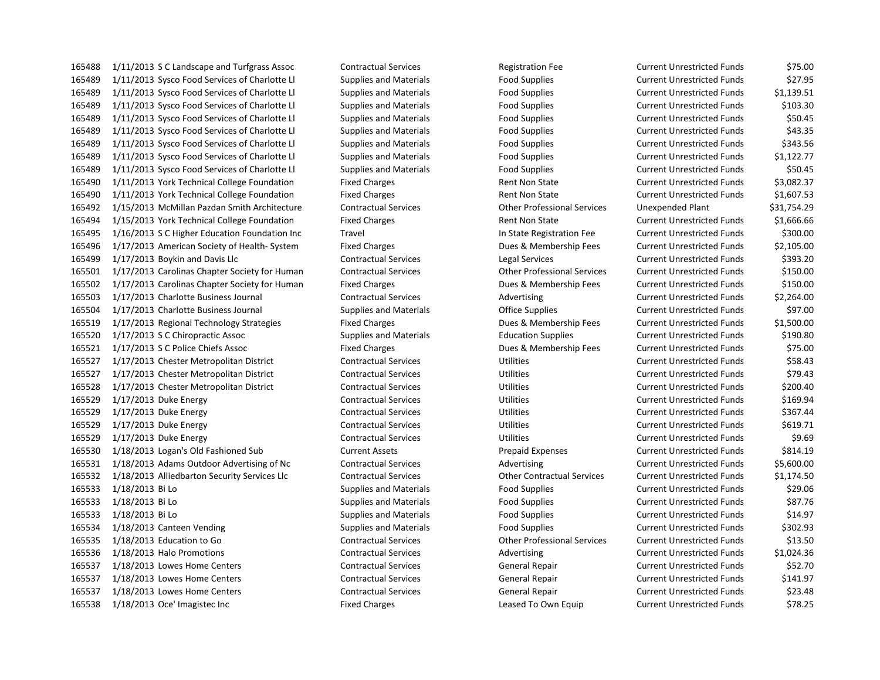1/11/2013 Sysco Food Services of Charlotte Ll Supplies and Materials Food Supplies Current Unrestricted Funds \$27.95 1/11/2013 Sysco Food Services of Charlotte Ll Supplies and Materials Food Supplies Current Unrestricted Funds \$1,139.51 1/11/2013 Sysco Food Services of Charlotte Ll Supplies and Materials Food Supplies Current Unrestricted Funds \$103.30 1/11/2013 Sysco Food Services of Charlotte Ll Supplies and Materials Food Supplies Current Unrestricted Funds \$50.45 1/11/2013 Sysco Food Services of Charlotte Ll Supplies and Materials Food Supplies Current Unrestricted Funds \$43.35 1/11/2013 Sysco Food Services of Charlotte Ll Supplies and Materials Food Supplies Current Unrestricted Funds \$343.56 1/11/2013 Sysco Food Services of Charlotte Ll Supplies and Materials Food Supplies Current Unrestricted Funds \$1,122.77 1/11/2013 Sysco Food Services of Charlotte Ll Supplies and Materials Food Supplies Current Unrestricted Funds \$50.45 165490 1/11/2013 York Technical College Foundation Fixed Charges Rent Non State Current Unrestricted Funds \$3,082.37 165490 1/11/2013 York Technical College Foundation Fixed Charges Rent Non State Current Unrestricted Funds \$1,607.53 1/15/2013 McMillan Pazdan Smith Architecture Contractual Services Other Professional Services Unexpended Plant \$31,754.29 1/15/2013 York Technical College Foundation Fixed Charges Rent Non State Current Unrestricted Funds \$1,666.66 1/16/2013 S C Higher Education Foundation Inc Travel In State Registration Fee Current Unrestricted Funds \$300.00 1/17/2013 American Society of Health- System Fixed Charges Dues & Membership Fees Current Unrestricted Funds \$2,105.00 1/17/2013 Boykin and Davis Llc Contractual Services Legal Services Current Unrestricted Funds \$393.20 1/17/2013 Carolinas Chapter Society for Human Contractual Services Other Professional Services Current Unrestricted Funds \$150.00 1/17/2013 Carolinas Chapter Society for Human Fixed Charges Dues & Membership Fees Current Unrestricted Funds \$150.00 165503 1/17/2013 Charlotte Business Journal Contractual Services Advertising Current Unrestricted Funds \$2,264.00 1/17/2013 Charlotte Business Journal Supplies and Materials Office Supplies Current Unrestricted Funds \$97.00 1/17/2013 Regional Technology Strategies Fixed Charges Dues & Membership Fees Current Unrestricted Funds \$1,500.00 1/17/2013 S C Chiropractic Assoc Supplies and Materials Education Supplies Current Unrestricted Funds \$190.80 1/17/2013 S C Police Chiefs Assoc Fixed Charges Dues & Membership Fees Current Unrestricted Funds \$75.00 1/17/2013 Chester Metropolitan District Contractual Services Utilities Current Unrestricted Funds \$58.43 1/17/2013 Chester Metropolitan District Contractual Services Utilities Current Unrestricted Funds \$79.43 1/17/2013 Chester Metropolitan District Contractual Services Utilities Current Unrestricted Funds \$200.40 1/17/2013 Duke Energy Contractual Services Utilities Current Unrestricted Funds \$169.94 1/17/2013 Duke Energy Contractual Services Utilities Current Unrestricted Funds \$367.44 1/17/2013 Duke Energy Contractual Services Utilities Current Unrestricted Funds \$619.71 1/17/2013 Duke Energy Contractual Services Utilities Current Unrestricted Funds \$9.69 1/18/2013 Logan's Old Fashioned Sub Current Assets Prepaid Expenses Current Unrestricted Funds \$814.19 1/18/2013 Adams Outdoor Advertising of Nc Contractual Services Advertising Current Unrestricted Funds \$5,600.00 1/18/2013 Alliedbarton Security Services Llc Contractual Services Other Contractual Services Current Unrestricted Funds \$1,174.50 1/18/2013 Bi Lo Supplies and Materials Food Supplies Current Unrestricted Funds \$29.06 1/18/2013 Bi Lo Supplies and Materials Food Supplies Current Unrestricted Funds \$87.76 1/18/2013 Bi Lo Supplies and Materials Food Supplies Current Unrestricted Funds \$14.97 1/18/2013 Canteen Vending Supplies and Materials Food Supplies Current Unrestricted Funds \$302.93 1/18/2013 Education to Go Contractual Services Other Professional Services Current Unrestricted Funds \$13.50 1/18/2013 Halo Promotions Contractual Services Advertising Current Unrestricted Funds \$1,024.36 1/18/2013 Lowes Home Centers Contractual Services General Repair Current Unrestricted Funds \$52.70 165537 1/18/2013 Lowes Home Centers Contractual Services General Repair Current Unrestricted Funds \$141.97 1/18/2013 Lowes Home Centers Contractual Services General Repair Current Unrestricted Funds \$23.48 1/18/2013 Oce' Imagistec Inc Fixed Charges Leased To Own Equip Current Unrestricted Funds \$78.25

1/11/2013 S C Landscape and Turfgrass Assoc Contractual Services Registration Fee Current Unrestricted Funds \$75.00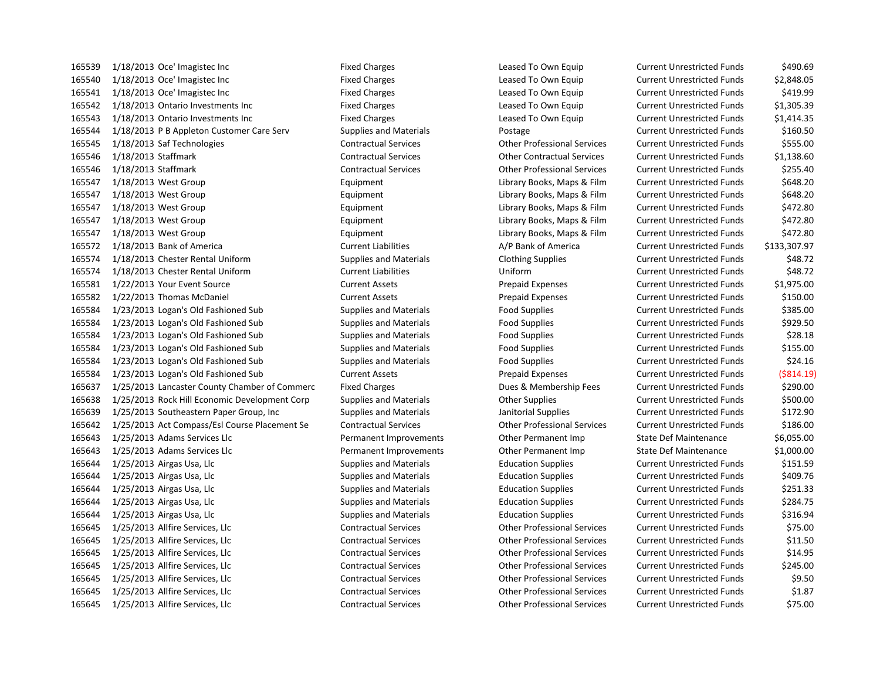1/18/2013 Oce' Imagistec Inc Fixed Charges Leased To Own Equip Current Unrestricted Funds \$490.69 1/18/2013 Oce' Imagistec Inc Fixed Charges Leased To Own Equip Current Unrestricted Funds \$2,848.05 1/18/2013 Oce' Imagistec Inc Fixed Charges Leased To Own Equip Current Unrestricted Funds \$419.99 1/18/2013 Ontario Investments Inc Fixed Charges Leased To Own Equip Current Unrestricted Funds \$1,305.39 1/18/2013 Ontario Investments Inc Fixed Charges Leased To Own Equip Current Unrestricted Funds \$1,414.35 1/18/2013 P B Appleton Customer Care Serv Supplies and Materials Postage Current Unrestricted Funds \$160.50 1/18/2013 Saf Technologies Contractual Services Other Professional Services Current Unrestricted Funds \$555.00 1/18/2013 Staffmark Contractual Services Other Contractual Services Current Unrestricted Funds \$1,138.60 1/18/2013 Staffmark Contractual Services Other Professional Services Current Unrestricted Funds \$255.40 1/18/2013 West Group Equipment Library Books, Maps & Film Current Unrestricted Funds \$648.20 1/18/2013 West Group Equipment Library Books, Maps & Film Current Unrestricted Funds \$648.20 1/18/2013 West Group Equipment Library Books, Maps & Film Current Unrestricted Funds \$472.80 1/18/2013 West Group Equipment Library Books, Maps & Film Current Unrestricted Funds \$472.80 1/18/2013 West Group Equipment Library Books, Maps & Film Current Unrestricted Funds \$472.80 1/18/2013 Bank of America Current Liabilities A/P Bank of America Current Unrestricted Funds \$133,307.97 1/18/2013 Chester Rental Uniform Supplies and Materials Clothing Supplies Current Unrestricted Funds \$48.72 1/18/2013 Chester Rental Uniform Current Liabilities Uniform Current Unrestricted Funds \$48.72 1/22/2013 Your Event Source Current Assets Prepaid Expenses Current Unrestricted Funds \$1,975.00 1/22/2013 Thomas McDaniel Current Assets Prepaid Expenses Current Unrestricted Funds \$150.00 1/23/2013 Logan's Old Fashioned Sub Supplies and Materials Food Supplies Current Unrestricted Funds \$385.00 1/23/2013 Logan's Old Fashioned Sub Supplies and Materials Food Supplies Current Unrestricted Funds \$929.50 1/23/2013 Logan's Old Fashioned Sub Supplies and Materials Food Supplies Current Unrestricted Funds \$28.18 1/23/2013 Logan's Old Fashioned Sub Supplies and Materials Food Supplies Current Unrestricted Funds \$155.00 1/23/2013 Logan's Old Fashioned Sub Supplies and Materials Food Supplies Current Unrestricted Funds \$24.16 1/23/2013 Logan's Old Fashioned Sub Current Assets Prepaid Expenses Current Unrestricted Funds (\$814.19) 1/25/2013 Lancaster County Chamber of Commerc Fixed Charges Dues & Membership Fees Current Unrestricted Funds \$290.00 1/25/2013 Rock Hill Economic Development Corp Supplies and Materials Other Supplies Current Unrestricted Funds \$500.00 1/25/2013 Southeastern Paper Group, Inc Supplies and Materials Janitorial Supplies Current Unrestricted Funds \$172.90 1/25/2013 Act Compass/Esl Course Placement Se Contractual Services Other Professional Services Current Unrestricted Funds \$186.00 1/25/2013 Adams Services Llc Permanent Improvements Other Permanent Imp State Def Maintenance \$6,055.00 1/25/2013 Adams Services Llc Permanent Improvements Other Permanent Imp State Def Maintenance \$1,000.00 1/25/2013 Airgas Usa, Llc Supplies and Materials Education Supplies Current Unrestricted Funds \$151.59 1/25/2013 Airgas Usa, Llc Supplies and Materials Education Supplies Current Unrestricted Funds \$409.76 1/25/2013 Airgas Usa, Llc Supplies and Materials Education Supplies Current Unrestricted Funds \$251.33 1/25/2013 Airgas Usa, Llc Supplies and Materials Education Supplies Current Unrestricted Funds \$284.75 165644 1/25/2013 Airgas Usa, Llc Supplies and Materials Education Supplies Current Unrestricted Funds \$316.94 1/25/2013 Allfire Services, Llc Contractual Services Other Professional Services Current Unrestricted Funds \$75.00 1/25/2013 Allfire Services, Llc Contractual Services Other Professional Services Current Unrestricted Funds \$11.50 1/25/2013 Allfire Services, Llc Contractual Services Other Professional Services Current Unrestricted Funds \$14.95 1/25/2013 Allfire Services, Llc Contractual Services Other Professional Services Current Unrestricted Funds \$245.00 1/25/2013 Allfire Services, Llc Contractual Services Other Professional Services Current Unrestricted Funds \$9.50 1/25/2013 Allfire Services, Llc Contractual Services Other Professional Services Current Unrestricted Funds \$1.87 1/25/2013 Allfire Services, Llc Contractual Services Other Professional Services Current Unrestricted Funds \$75.00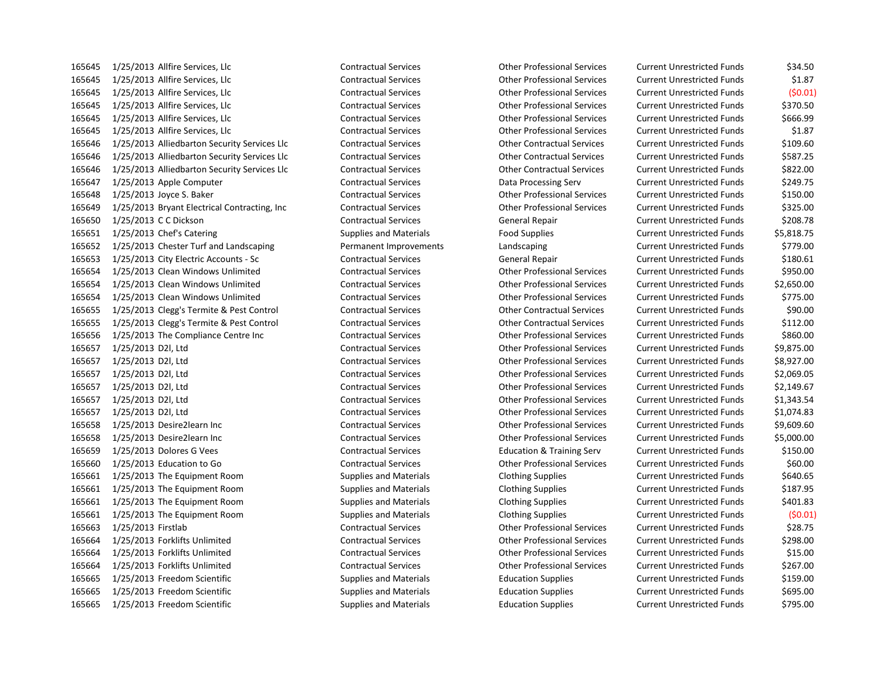1/25/2013 Allfire Services, Llc Contractual Services Other Professional Services Current Unrestricted Funds \$34.50 1/25/2013 Allfire Services, Llc Contractual Services Other Professional Services Current Unrestricted Funds \$1.87 1/25/2013 Allfire Services, Llc Contractual Services Other Professional Services Current Unrestricted Funds (\$0.01) 1/25/2013 Allfire Services, Llc Contractual Services Other Professional Services Current Unrestricted Funds \$370.50 1/25/2013 Allfire Services, Llc Contractual Services Other Professional Services Current Unrestricted Funds \$666.99 1/25/2013 Allfire Services, Llc Contractual Services Other Professional Services Current Unrestricted Funds \$1.87 1/25/2013 Alliedbarton Security Services Llc Contractual Services Other Contractual Services Current Unrestricted Funds \$109.60 1/25/2013 Alliedbarton Security Services Llc Contractual Services Other Contractual Services Current Unrestricted Funds \$587.25 1/25/2013 Alliedbarton Security Services Llc Contractual Services Other Contractual Services Current Unrestricted Funds \$822.00 1/25/2013 Apple Computer Contractual Services Data Processing Serv Current Unrestricted Funds \$249.75 1/25/2013 Joyce S. Baker Contractual Services Other Professional Services Current Unrestricted Funds \$150.00 1/25/2013 Bryant Electrical Contracting, Inc Contractual Services Other Professional Services Current Unrestricted Funds \$325.00 1/25/2013 C C Dickson Contractual Services General Repair Current Unrestricted Funds \$208.78 165651 1/25/2013 Chef's Catering The Supplies and Materials Food Supplies Current Unrestricted Funds \$5,818.75 1/25/2013 Chester Turf and Landscaping Permanent Improvements Landscaping Current Unrestricted Funds \$779.00 1/25/2013 City Electric Accounts - Sc Contractual Services General Repair Current Unrestricted Funds \$180.61 1/25/2013 Clean Windows Unlimited Contractual Services Other Professional Services Current Unrestricted Funds \$950.00 1/25/2013 Clean Windows Unlimited Contractual Services Other Professional Services Current Unrestricted Funds \$2,650.00 1/25/2013 Clean Windows Unlimited Contractual Services Other Professional Services Current Unrestricted Funds \$775.00 1/25/2013 Clegg's Termite & Pest Control Contractual Services Other Contractual Services Current Unrestricted Funds \$90.00 1/25/2013 Clegg's Termite & Pest Control Contractual Services Other Contractual Services Current Unrestricted Funds \$112.00 1/25/2013 The Compliance Centre Inc Contractual Services Other Professional Services Current Unrestricted Funds \$860.00 1/25/2013 D2l, Ltd Contractual Services Other Professional Services Current Unrestricted Funds \$9,875.00 1/25/2013 D2l, Ltd Contractual Services Other Professional Services Current Unrestricted Funds \$8,927.00 1/25/2013 D2l, Ltd Contractual Services Other Professional Services Current Unrestricted Funds \$2,069.05 1/25/2013 D2l, Ltd Contractual Services Other Professional Services Current Unrestricted Funds \$2,149.67 1/25/2013 D2l, Ltd Contractual Services Other Professional Services Current Unrestricted Funds \$1,343.54 1/25/2013 D2l, Ltd Contractual Services Other Professional Services Current Unrestricted Funds \$1,074.83 1/25/2013 Desire2learn Inc Contractual Services Other Professional Services Current Unrestricted Funds \$9,609.60 1/25/2013 Desire2learn Inc Contractual Services Other Professional Services Current Unrestricted Funds \$5,000.00 1/25/2013 Dolores G Vees Contractual Services Education & Training Serv Current Unrestricted Funds \$150.00 1/25/2013 Education to Go Contractual Services Other Professional Services Current Unrestricted Funds \$60.00 1/25/2013 The Equipment Room Supplies and Materials Clothing Supplies Current Unrestricted Funds \$640.65 1/25/2013 The Equipment Room Supplies and Materials Clothing Supplies Current Unrestricted Funds \$187.95 1/25/2013 The Equipment Room Supplies and Materials Clothing Supplies Current Unrestricted Funds \$401.83 1/25/2013 The Equipment Room Supplies and Materials Clothing Supplies Current Unrestricted Funds (\$0.01) 1/25/2013 Firstlab Contractual Services Other Professional Services Current Unrestricted Funds \$28.75 1/25/2013 Forklifts Unlimited Contractual Services Other Professional Services Current Unrestricted Funds \$298.00 1/25/2013 Forklifts Unlimited Contractual Services Other Professional Services Current Unrestricted Funds \$15.00 1/25/2013 Forklifts Unlimited Contractual Services Other Professional Services Current Unrestricted Funds \$267.00 1/25/2013 Freedom Scientific Supplies and Materials Education Supplies Current Unrestricted Funds \$159.00 1/25/2013 Freedom Scientific Supplies and Materials Education Supplies Current Unrestricted Funds \$695.00

1/25/2013 Freedom Scientific Supplies and Materials Education Supplies Current Unrestricted Funds \$795.00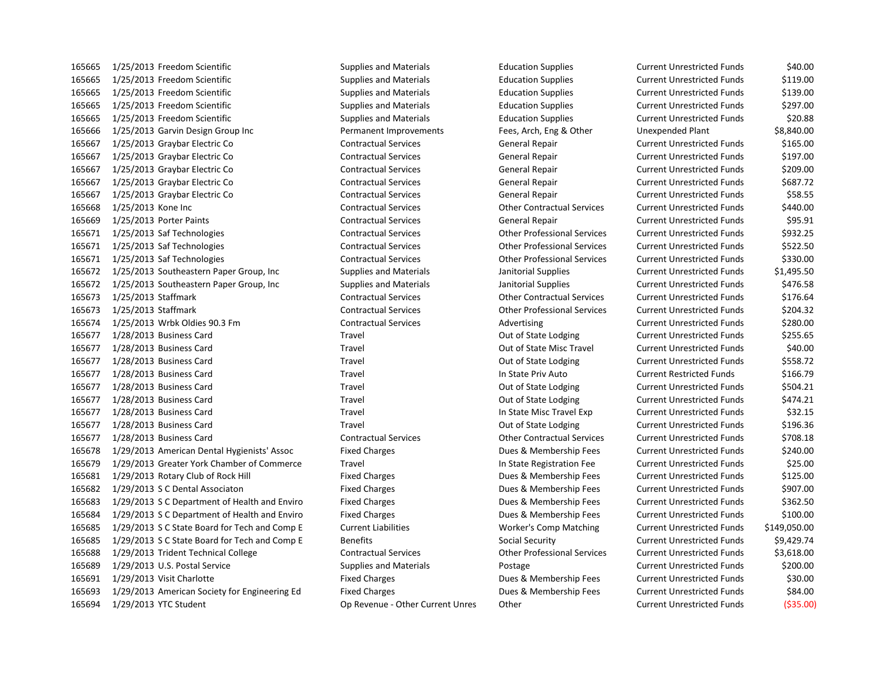1/25/2013 Freedom Scientific Supplies and Materials Education Supplies Current Unrestricted Funds \$40.00 1/25/2013 Freedom Scientific Supplies and Materials Education Supplies Current Unrestricted Funds \$119.00 1/25/2013 Freedom Scientific Supplies and Materials Education Supplies Current Unrestricted Funds \$139.00 1/25/2013 Freedom Scientific Supplies and Materials Education Supplies Current Unrestricted Funds \$297.00 1/25/2013 Freedom Scientific Supplies and Materials Education Supplies Current Unrestricted Funds \$20.88 1/25/2013 Garvin Design Group Inc Permanent Improvements Fees, Arch, Eng & Other Unexpended Plant \$8,840.00 1/25/2013 Graybar Electric Co Contractual Services General Repair Current Unrestricted Funds \$165.00 1/25/2013 Graybar Electric Co Contractual Services General Repair Current Unrestricted Funds \$197.00 1/25/2013 Graybar Electric Co Contractual Services General Repair Current Unrestricted Funds \$209.00 1/25/2013 Graybar Electric Co Contractual Services General Repair Current Unrestricted Funds \$687.72 1/25/2013 Graybar Electric Co Contractual Services General Repair Current Unrestricted Funds \$58.55 1/25/2013 Kone Inc Contractual Services Other Contractual Services Current Unrestricted Funds \$440.00 1/25/2013 Porter Paints Contractual Services General Repair Current Unrestricted Funds \$95.91 1/25/2013 Saf Technologies Contractual Services Other Professional Services Current Unrestricted Funds \$932.25 1/25/2013 Saf Technologies Contractual Services Other Professional Services Current Unrestricted Funds \$522.50 1/25/2013 Saf Technologies Contractual Services Other Professional Services Current Unrestricted Funds \$330.00 1/25/2013 Southeastern Paper Group, Inc Supplies and Materials Janitorial Supplies Current Unrestricted Funds \$1,495.50 1/25/2013 Southeastern Paper Group, Inc Supplies and Materials Janitorial Supplies Current Unrestricted Funds \$476.58 1/25/2013 Staffmark Contractual Services Other Contractual Services Current Unrestricted Funds \$176.64 1/25/2013 Staffmark Contractual Services Other Professional Services Current Unrestricted Funds \$204.32 165674 1/25/2013 Wrbk Oldies 90.3 Fm Contractual Services Advertising Current Unrestricted Funds \$280.00 1/28/2013 Business Card Travel Out of State Lodging Current Unrestricted Funds \$255.65 1/28/2013 Business Card Travel Out of State Misc Travel Current Unrestricted Funds \$40.00 1/28/2013 Business Card Travel Out of State Lodging Current Unrestricted Funds \$558.72 1/28/2013 Business Card Travel In State Priv Auto Current Restricted Funds \$166.79 1/28/2013 Business Card Travel Out of State Lodging Current Unrestricted Funds \$504.21 165677 1/28/2013 Business Card Travel Travel Travel Current Current Unrestricted Funds \$474.21 1/28/2013 Business Card Travel In State Misc Travel Exp Current Unrestricted Funds \$32.15 1/28/2013 Business Card Travel Out of State Lodging Current Unrestricted Funds \$196.36 1/28/2013 Business Card Contractual Services Other Contractual Services Current Unrestricted Funds \$708.18 1/29/2013 American Dental Hygienists' Assoc Fixed Charges Dues & Membership Fees Current Unrestricted Funds \$240.00 1/29/2013 Greater York Chamber of Commerce Travel In State Registration Fee Current Unrestricted Funds \$25.00 1/29/2013 Rotary Club of Rock Hill Fixed Charges Dues & Membership Fees Current Unrestricted Funds \$125.00 1/29/2013 S C Dental Associaton Fixed Charges Dues & Membership Fees Current Unrestricted Funds \$907.00 1/29/2013 S C Department of Health and Enviro Fixed Charges Dues & Membership Fees Current Unrestricted Funds \$362.50 1/29/2013 S C Department of Health and Enviro Fixed Charges Dues & Membership Fees Current Unrestricted Funds \$100.00 1/29/2013 S C State Board for Tech and Comp E Current Liabilities Worker's Comp Matching Current Unrestricted Funds \$149,050.00 1/29/2013 S C State Board for Tech and Comp E Benefits Social Security Current Unrestricted Funds \$9,429.74 1/29/2013 Trident Technical College Contractual Services Other Professional Services Current Unrestricted Funds \$3,618.00 1/29/2013 U.S. Postal Service Supplies and Materials Postage Current Unrestricted Funds \$200.00 1/29/2013 Visit Charlotte Fixed Charges Dues & Membership Fees Current Unrestricted Funds \$30.00 1/29/2013 American Society for Engineering Ed Fixed Charges Dues & Membership Fees Current Unrestricted Funds \$84.00 1/29/2013 YTC Student Op Revenue - Other Current Unres Other Current Unrestricted Funds (\$35.00)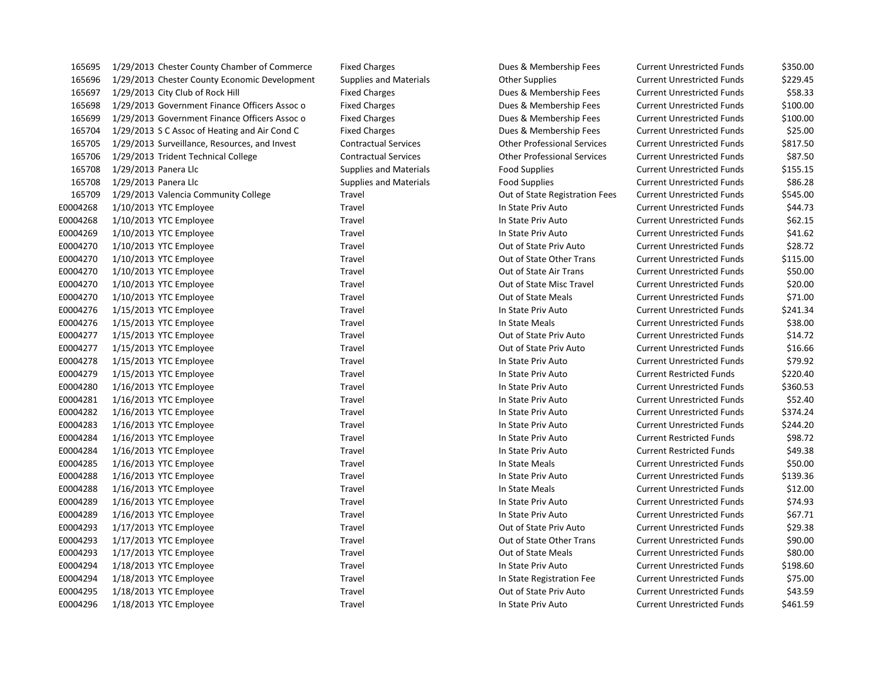| 165695   | 1/29/2013 Chester County Chamber of Commerce  | <b>Fixed Charges</b>          | Dues & Membership Fees             | <b>Current Unrestricted Funds</b> | \$350.00 |
|----------|-----------------------------------------------|-------------------------------|------------------------------------|-----------------------------------|----------|
| 165696   | 1/29/2013 Chester County Economic Development | <b>Supplies and Materials</b> | <b>Other Supplies</b>              | <b>Current Unrestricted Funds</b> | \$229.45 |
| 165697   | 1/29/2013 City Club of Rock Hill              | <b>Fixed Charges</b>          | Dues & Membership Fees             | <b>Current Unrestricted Funds</b> | \$58.33  |
| 165698   | 1/29/2013 Government Finance Officers Assoc o | <b>Fixed Charges</b>          | Dues & Membership Fees             | <b>Current Unrestricted Funds</b> | \$100.00 |
| 165699   | 1/29/2013 Government Finance Officers Assoc o | <b>Fixed Charges</b>          | Dues & Membership Fees             | <b>Current Unrestricted Funds</b> | \$100.00 |
| 165704   | 1/29/2013 S C Assoc of Heating and Air Cond C | <b>Fixed Charges</b>          | Dues & Membership Fees             | <b>Current Unrestricted Funds</b> | \$25.00  |
| 165705   | 1/29/2013 Surveillance, Resources, and Invest | <b>Contractual Services</b>   | <b>Other Professional Services</b> | <b>Current Unrestricted Funds</b> | \$817.50 |
| 165706   | 1/29/2013 Trident Technical College           | <b>Contractual Services</b>   | <b>Other Professional Services</b> | <b>Current Unrestricted Funds</b> | \$87.50  |
| 165708   | 1/29/2013 Panera Llc                          | <b>Supplies and Materials</b> | <b>Food Supplies</b>               | <b>Current Unrestricted Funds</b> | \$155.15 |
| 165708   | 1/29/2013 Panera Llc                          | <b>Supplies and Materials</b> | <b>Food Supplies</b>               | <b>Current Unrestricted Funds</b> | \$86.28  |
| 165709   | 1/29/2013 Valencia Community College          | Travel                        | Out of State Registration Fees     | <b>Current Unrestricted Funds</b> | \$545.00 |
| E0004268 | $1/10/2013$ YTC Employee                      | Travel                        | In State Priv Auto                 | <b>Current Unrestricted Funds</b> | \$44.73  |
| E0004268 | 1/10/2013 YTC Employee                        | Travel                        | In State Priv Auto                 | <b>Current Unrestricted Funds</b> | \$62.15  |
| E0004269 | $1/10/2013$ YTC Employee                      | Travel                        | In State Priv Auto                 | <b>Current Unrestricted Funds</b> | \$41.62  |
| E0004270 | $1/10/2013$ YTC Employee                      | Travel                        | Out of State Priv Auto             | <b>Current Unrestricted Funds</b> | \$28.72  |
| E0004270 | $1/10/2013$ YTC Employee                      | Travel                        | Out of State Other Trans           | <b>Current Unrestricted Funds</b> | \$115.00 |
| E0004270 | 1/10/2013 YTC Employee                        | Travel                        | Out of State Air Trans             | <b>Current Unrestricted Funds</b> | \$50.00  |
| E0004270 | $1/10/2013$ YTC Employee                      | Travel                        | Out of State Misc Travel           | <b>Current Unrestricted Funds</b> | \$20.00  |
| E0004270 | $1/10/2013$ YTC Employee                      | Travel                        | Out of State Meals                 | <b>Current Unrestricted Funds</b> | \$71.00  |
| E0004276 | 1/15/2013 YTC Employee                        | Travel                        | In State Priv Auto                 | <b>Current Unrestricted Funds</b> | \$241.34 |
| E0004276 | 1/15/2013 YTC Employee                        | Travel                        | In State Meals                     | <b>Current Unrestricted Funds</b> | \$38.00  |
| E0004277 | $1/15/2013$ YTC Employee                      | Travel                        | Out of State Priv Auto             | <b>Current Unrestricted Funds</b> | \$14.72  |
| E0004277 | 1/15/2013 YTC Employee                        | Travel                        | Out of State Priv Auto             | <b>Current Unrestricted Funds</b> | \$16.66  |
| E0004278 | 1/15/2013 YTC Employee                        | Travel                        | In State Priv Auto                 | <b>Current Unrestricted Funds</b> | \$79.92  |
| E0004279 | 1/15/2013 YTC Employee                        | Travel                        | In State Priv Auto                 | <b>Current Restricted Funds</b>   | \$220.40 |
| E0004280 | $1/16/2013$ YTC Employee                      | Travel                        | In State Priv Auto                 | <b>Current Unrestricted Funds</b> | \$360.53 |
| E0004281 | $1/16/2013$ YTC Employee                      | Travel                        | In State Priv Auto                 | <b>Current Unrestricted Funds</b> | \$52.40  |
| E0004282 | $1/16/2013$ YTC Employee                      | Travel                        | In State Priv Auto                 | <b>Current Unrestricted Funds</b> | \$374.24 |
| E0004283 | 1/16/2013 YTC Employee                        | Travel                        | In State Priv Auto                 | <b>Current Unrestricted Funds</b> | \$244.20 |
| E0004284 | 1/16/2013 YTC Employee                        | Travel                        | In State Priv Auto                 | <b>Current Restricted Funds</b>   | \$98.72  |
| E0004284 | $1/16/2013$ YTC Employee                      | Travel                        | In State Priv Auto                 | <b>Current Restricted Funds</b>   | \$49.38  |
| E0004285 | $1/16/2013$ YTC Employee                      | Travel                        | In State Meals                     | <b>Current Unrestricted Funds</b> | \$50.00  |
| E0004288 | 1/16/2013 YTC Employee                        | Travel                        | In State Priv Auto                 | <b>Current Unrestricted Funds</b> | \$139.36 |
| E0004288 | $1/16/2013$ YTC Employee                      | Travel                        | In State Meals                     | <b>Current Unrestricted Funds</b> | \$12.00  |
| E0004289 | $1/16/2013$ YTC Employee                      | Travel                        | In State Priv Auto                 | <b>Current Unrestricted Funds</b> | \$74.93  |
| E0004289 | 1/16/2013 YTC Employee                        | Travel                        | In State Priv Auto                 | <b>Current Unrestricted Funds</b> | \$67.71  |
| E0004293 | $1/17/2013$ YTC Employee                      | Travel                        | Out of State Priv Auto             | <b>Current Unrestricted Funds</b> | \$29.38  |
| E0004293 | $1/17/2013$ YTC Employee                      | Travel                        | Out of State Other Trans           | <b>Current Unrestricted Funds</b> | \$90.00  |
| E0004293 | 1/17/2013 YTC Employee                        | Travel                        | Out of State Meals                 | <b>Current Unrestricted Funds</b> | \$80.00  |
| E0004294 | 1/18/2013 YTC Employee                        | Travel                        | In State Priv Auto                 | <b>Current Unrestricted Funds</b> | \$198.60 |
| E0004294 | 1/18/2013 YTC Employee                        | Travel                        | In State Registration Fee          | <b>Current Unrestricted Funds</b> | \$75.00  |
| E0004295 | 1/18/2013 YTC Employee                        | Travel                        | Out of State Priv Auto             | <b>Current Unrestricted Funds</b> | \$43.59  |
| E0004296 | 1/18/2013 YTC Employee                        | Travel                        | In State Priv Auto                 | Current Unrestricted Funds        | \$461.59 |